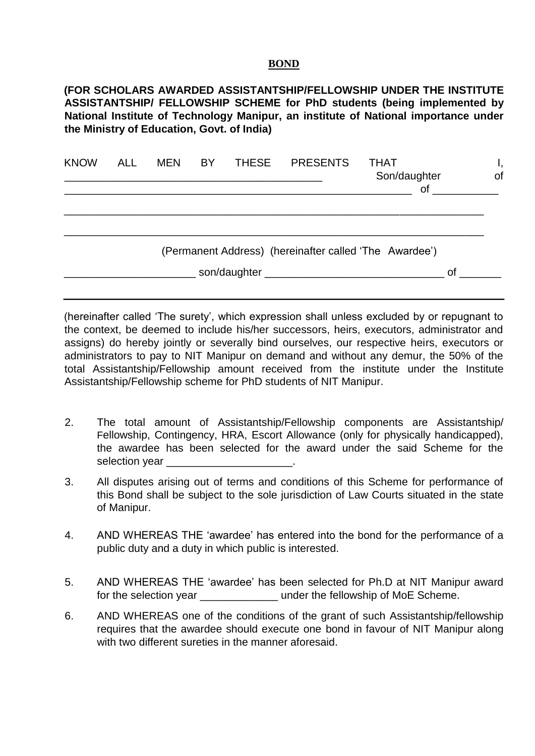## **BOND**

**(FOR SCHOLARS AWARDED ASSISTANTSHIP/FELLOWSHIP UNDER THE INSTITUTE ASSISTANTSHIP/ FELLOWSHIP SCHEME for PhD students (being implemented by National Institute of Technology Manipur, an institute of National importance under the Ministry of Education, Govt. of India)** 

| <b>KNOW</b> | <b>ALL</b> | <b>MEN</b> | <b>BY</b> | <b>THESE</b> | <b>PRESENTS</b> | THAT<br>Son/daughter<br><b>of</b>                      | ι,<br>of |
|-------------|------------|------------|-----------|--------------|-----------------|--------------------------------------------------------|----------|
|             |            |            |           |              |                 |                                                        |          |
|             |            |            |           |              |                 | (Permanent Address) (hereinafter called 'The Awardee') |          |
|             |            |            |           |              |                 | 0f                                                     |          |

(hereinafter called 'The surety', which expression shall unless excluded by or repugnant to the context, be deemed to include his/her successors, heirs, executors, administrator and assigns) do hereby jointly or severally bind ourselves, our respective heirs, executors or administrators to pay to NIT Manipur on demand and without any demur, the 50% of the total Assistantship/Fellowship amount received from the institute under the Institute Assistantship/Fellowship scheme for PhD students of NIT Manipur.

- 2. The total amount of Assistantship/Fellowship components are Assistantship/ Fellowship, Contingency, HRA, Escort Allowance (only for physically handicapped), the awardee has been selected for the award under the said Scheme for the selection year \_\_\_\_\_\_\_\_\_\_\_\_\_\_\_\_\_\_\_\_\_.
- 3. All disputes arising out of terms and conditions of this Scheme for performance of this Bond shall be subject to the sole jurisdiction of Law Courts situated in the state of Manipur.
- 4. AND WHEREAS THE 'awardee' has entered into the bond for the performance of a public duty and a duty in which public is interested.
- 5. AND WHEREAS THE 'awardee' has been selected for Ph.D at NIT Manipur award for the selection year **Exercise 1** under the fellowship of MoE Scheme.
- 6. AND WHEREAS one of the conditions of the grant of such Assistantship/fellowship requires that the awardee should execute one bond in favour of NIT Manipur along with two different sureties in the manner aforesaid.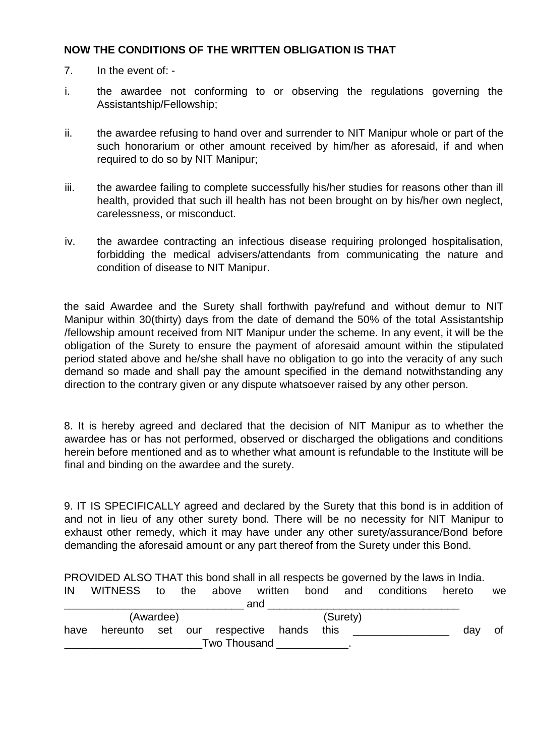## **NOW THE CONDITIONS OF THE WRITTEN OBLIGATION IS THAT**

- 7. In the event of: -
- i. the awardee not conforming to or observing the regulations governing the Assistantship/Fellowship;
- ii. the awardee refusing to hand over and surrender to NIT Manipur whole or part of the such honorarium or other amount received by him/her as aforesaid, if and when required to do so by NIT Manipur;
- iii. the awardee failing to complete successfully his/her studies for reasons other than ill health, provided that such ill health has not been brought on by his/her own neglect, carelessness, or misconduct.
- iv. the awardee contracting an infectious disease requiring prolonged hospitalisation, forbidding the medical advisers/attendants from communicating the nature and condition of disease to NIT Manipur.

the said Awardee and the Surety shall forthwith pay/refund and without demur to NIT Manipur within 30(thirty) days from the date of demand the 50% of the total Assistantship /fellowship amount received from NIT Manipur under the scheme. In any event, it will be the obligation of the Surety to ensure the payment of aforesaid amount within the stipulated period stated above and he/she shall have no obligation to go into the veracity of any such demand so made and shall pay the amount specified in the demand notwithstanding any direction to the contrary given or any dispute whatsoever raised by any other person.

8. It is hereby agreed and declared that the decision of NIT Manipur as to whether the awardee has or has not performed, observed or discharged the obligations and conditions herein before mentioned and as to whether what amount is refundable to the Institute will be final and binding on the awardee and the surety.

9. IT IS SPECIFICALLY agreed and declared by the Surety that this bond is in addition of and not in lieu of any other surety bond. There will be no necessity for NIT Manipur to exhaust other remedy, which it may have under any other surety/assurance/Bond before demanding the aforesaid amount or any part thereof from the Surety under this Bond.

PROVIDED ALSO THAT this bond shall in all respects be governed by the laws in India. IN WITNESS to the above written bond and conditions hereto we

| <b>IIV</b> | VVIINESS LO |           | me | above whiten bond                      |  |          | and conditions hereto |     | we |
|------------|-------------|-----------|----|----------------------------------------|--|----------|-----------------------|-----|----|
|            |             |           |    | and                                    |  |          |                       |     |    |
|            |             | (Awardee) |    |                                        |  | (Surety) |                       |     |    |
| have       |             |           |    | hereunto set our respective hands this |  |          |                       | dav | Οt |
|            |             |           |    | Two Thousand                           |  |          |                       |     |    |